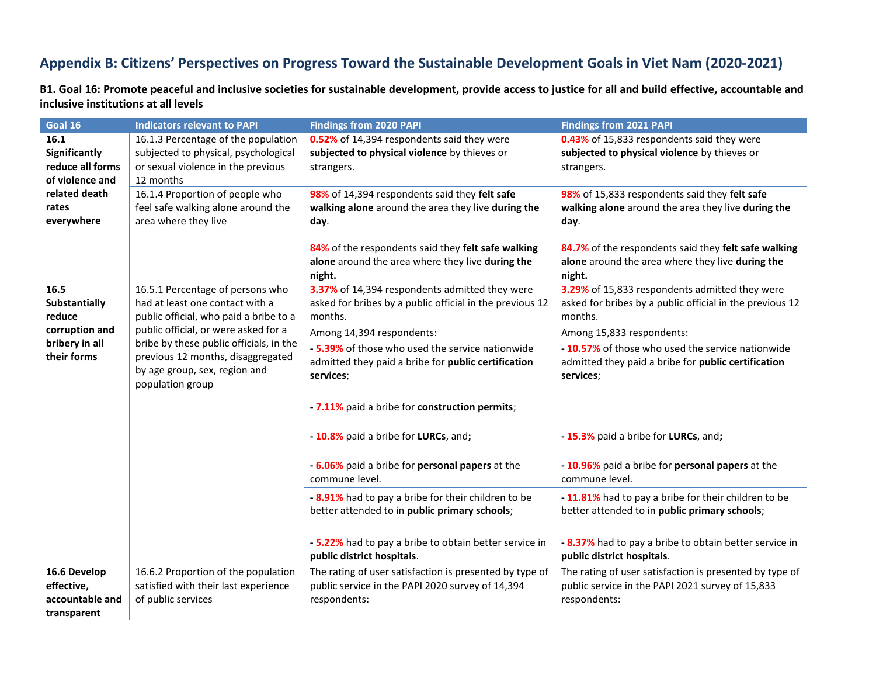## **Appendix B: Citizens' Perspectives on Progress Toward the Sustainable Development Goals in Viet Nam (2020-2021)**

**B1. Goal 16: Promote peaceful and inclusive societies for sustainable development, provide access to justice for all and build effective, accountable and inclusive institutions at all levels**

| Goal 16                                                                            | <b>Indicators relevant to PAPI</b>                                                                                                                                                                                                                                                         | <b>Findings from 2020 PAPI</b>                                                                                                                                                                                                              | <b>Findings from 2021 PAPI</b>                                                                                                                                                             |
|------------------------------------------------------------------------------------|--------------------------------------------------------------------------------------------------------------------------------------------------------------------------------------------------------------------------------------------------------------------------------------------|---------------------------------------------------------------------------------------------------------------------------------------------------------------------------------------------------------------------------------------------|--------------------------------------------------------------------------------------------------------------------------------------------------------------------------------------------|
| 16.1<br>Significantly<br>reduce all forms<br>of violence and                       | 16.1.3 Percentage of the population<br>subjected to physical, psychological<br>or sexual violence in the previous<br>12 months                                                                                                                                                             | 0.52% of 14,394 respondents said they were<br>subjected to physical violence by thieves or<br>strangers.                                                                                                                                    | 0.43% of 15,833 respondents said they were<br>subjected to physical violence by thieves or<br>strangers.                                                                                   |
| related death<br>rates<br>everywhere                                               | 16.1.4 Proportion of people who<br>feel safe walking alone around the<br>area where they live                                                                                                                                                                                              | 98% of 14,394 respondents said they felt safe<br>walking alone around the area they live during the<br>day.                                                                                                                                 | 98% of 15,833 respondents said they felt safe<br>walking alone around the area they live during the<br>day.                                                                                |
|                                                                                    |                                                                                                                                                                                                                                                                                            | 84% of the respondents said they felt safe walking<br>alone around the area where they live during the<br>night.                                                                                                                            | 84.7% of the respondents said they felt safe walking<br>alone around the area where they live during the<br>night.                                                                         |
| 16.5<br>Substantially<br>reduce<br>corruption and<br>bribery in all<br>their forms | 16.5.1 Percentage of persons who<br>had at least one contact with a<br>public official, who paid a bribe to a<br>public official, or were asked for a<br>bribe by these public officials, in the<br>previous 12 months, disaggregated<br>by age group, sex, region and<br>population group | 3.37% of 14,394 respondents admitted they were<br>asked for bribes by a public official in the previous 12<br>months.                                                                                                                       | 3.29% of 15,833 respondents admitted they were<br>asked for bribes by a public official in the previous 12<br>months.                                                                      |
|                                                                                    |                                                                                                                                                                                                                                                                                            | Among 14,394 respondents:<br>- 5.39% of those who used the service nationwide<br>admitted they paid a bribe for public certification<br>services;<br>- 7.11% paid a bribe for construction permits;<br>- 10.8% paid a bribe for LURCs, and; | Among 15,833 respondents:<br>- 10.57% of those who used the service nationwide<br>admitted they paid a bribe for public certification<br>services;<br>- 15.3% paid a bribe for LURCs, and; |
|                                                                                    |                                                                                                                                                                                                                                                                                            | - 6.06% paid a bribe for personal papers at the<br>commune level.                                                                                                                                                                           | -10.96% paid a bribe for personal papers at the<br>commune level.                                                                                                                          |
|                                                                                    |                                                                                                                                                                                                                                                                                            | - 8.91% had to pay a bribe for their children to be<br>better attended to in public primary schools;<br>- 5.22% had to pay a bribe to obtain better service in                                                                              | -11.81% had to pay a bribe for their children to be<br>better attended to in public primary schools;<br>- 8.37% had to pay a bribe to obtain better service in                             |
|                                                                                    |                                                                                                                                                                                                                                                                                            | public district hospitals.                                                                                                                                                                                                                  | public district hospitals.                                                                                                                                                                 |
| 16.6 Develop<br>effective,<br>accountable and<br>transparent                       | 16.6.2 Proportion of the population<br>satisfied with their last experience<br>of public services                                                                                                                                                                                          | The rating of user satisfaction is presented by type of<br>public service in the PAPI 2020 survey of 14,394<br>respondents:                                                                                                                 | The rating of user satisfaction is presented by type of<br>public service in the PAPI 2021 survey of 15,833<br>respondents:                                                                |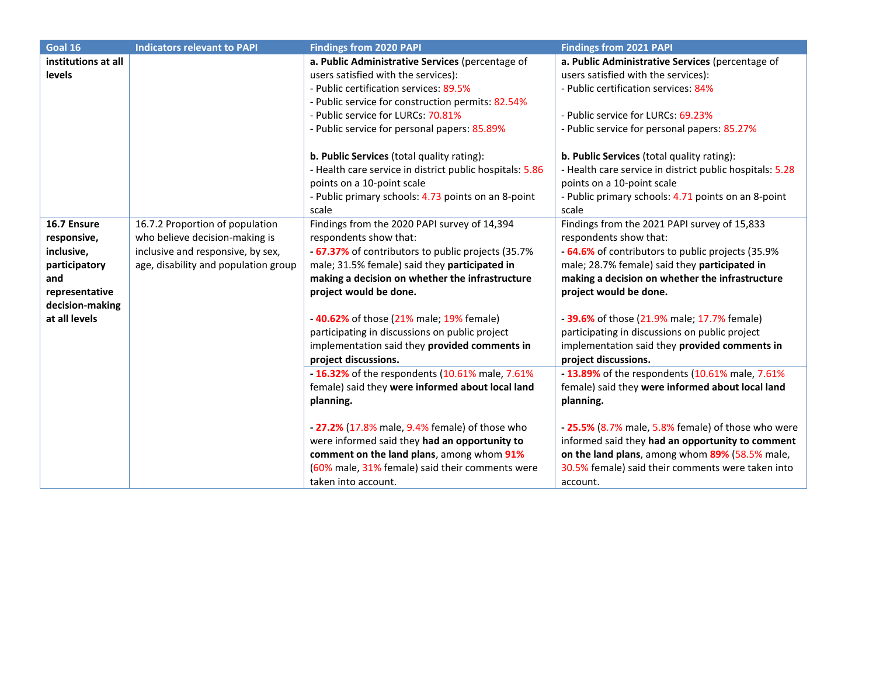| Goal 16                                                                                                                | <b>Indicators relevant to PAPI</b>                                                                                                             | <b>Findings from 2020 PAPI</b>                                                                                                                                                                                                                                                                                                                                                                           | <b>Findings from 2021 PAPI</b>                                                                                                                                                                                                                                                                                                                                                                              |
|------------------------------------------------------------------------------------------------------------------------|------------------------------------------------------------------------------------------------------------------------------------------------|----------------------------------------------------------------------------------------------------------------------------------------------------------------------------------------------------------------------------------------------------------------------------------------------------------------------------------------------------------------------------------------------------------|-------------------------------------------------------------------------------------------------------------------------------------------------------------------------------------------------------------------------------------------------------------------------------------------------------------------------------------------------------------------------------------------------------------|
| institutions at all<br>levels                                                                                          |                                                                                                                                                | a. Public Administrative Services (percentage of<br>users satisfied with the services):<br>- Public certification services: 89.5%<br>- Public service for construction permits: 82.54%                                                                                                                                                                                                                   | a. Public Administrative Services (percentage of<br>users satisfied with the services):<br>- Public certification services: 84%                                                                                                                                                                                                                                                                             |
|                                                                                                                        |                                                                                                                                                | - Public service for LURCs: 70.81%<br>- Public service for personal papers: 85.89%                                                                                                                                                                                                                                                                                                                       | - Public service for LURCs: 69.23%<br>- Public service for personal papers: 85.27%                                                                                                                                                                                                                                                                                                                          |
|                                                                                                                        |                                                                                                                                                | b. Public Services (total quality rating):<br>- Health care service in district public hospitals: 5.86<br>points on a 10-point scale<br>- Public primary schools: 4.73 points on an 8-point<br>scale                                                                                                                                                                                                     | b. Public Services (total quality rating):<br>- Health care service in district public hospitals: 5.28<br>points on a 10-point scale<br>- Public primary schools: 4.71 points on an 8-point<br>scale                                                                                                                                                                                                        |
| 16.7 Ensure<br>responsive,<br>inclusive,<br>participatory<br>and<br>representative<br>decision-making<br>at all levels | 16.7.2 Proportion of population<br>who believe decision-making is<br>inclusive and responsive, by sex,<br>age, disability and population group | Findings from the 2020 PAPI survey of 14,394<br>respondents show that:<br>- 67.37% of contributors to public projects (35.7%<br>male; 31.5% female) said they participated in<br>making a decision on whether the infrastructure<br>project would be done.<br>-40.62% of those (21% male; 19% female)<br>participating in discussions on public project<br>implementation said they provided comments in | Findings from the 2021 PAPI survey of 15,833<br>respondents show that:<br>- 64.6% of contributors to public projects (35.9%<br>male; 28.7% female) said they participated in<br>making a decision on whether the infrastructure<br>project would be done.<br>- 39.6% of those (21.9% male; 17.7% female)<br>participating in discussions on public project<br>implementation said they provided comments in |
|                                                                                                                        |                                                                                                                                                | project discussions.<br>- 16.32% of the respondents (10.61% male, 7.61%<br>female) said they were informed about local land<br>planning.                                                                                                                                                                                                                                                                 | project discussions.<br>- 13.89% of the respondents (10.61% male, 7.61%<br>female) said they were informed about local land<br>planning.                                                                                                                                                                                                                                                                    |
|                                                                                                                        |                                                                                                                                                | - 27.2% (17.8% male, 9.4% female) of those who<br>were informed said they had an opportunity to<br>comment on the land plans, among whom 91%<br>(60% male, 31% female) said their comments were<br>taken into account.                                                                                                                                                                                   | - 25.5% (8.7% male, 5.8% female) of those who were<br>informed said they had an opportunity to comment<br>on the land plans, among whom 89% (58.5% male,<br>30.5% female) said their comments were taken into<br>account.                                                                                                                                                                                   |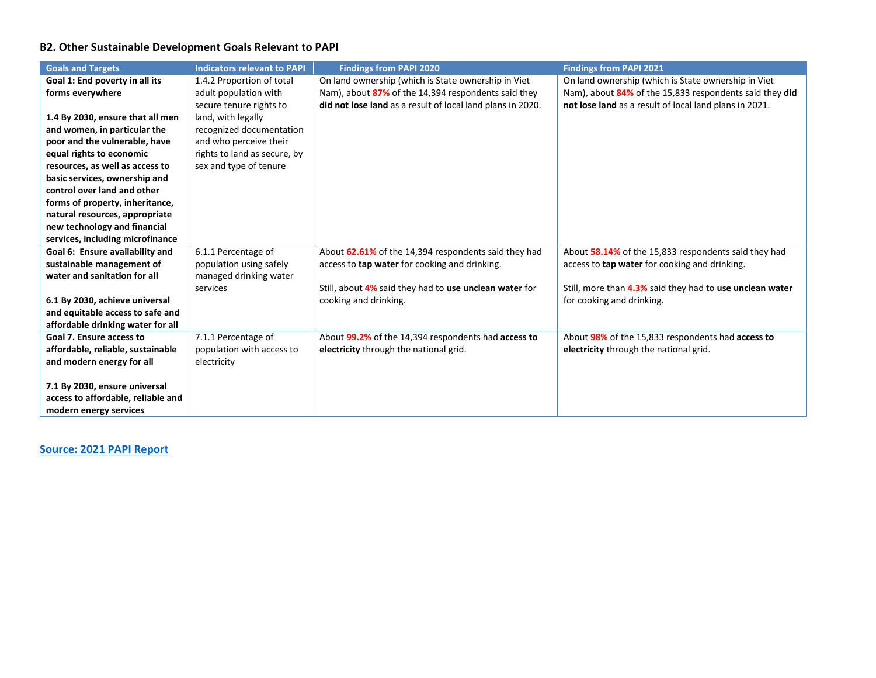## **B2. Other Sustainable Development Goals Relevant to PAPI**

| <b>Goals and Targets</b>           | <b>Indicators relevant to PAPI</b> | <b>Findings from PAPI 2020</b>                             | <b>Findings from PAPI 2021</b>                           |
|------------------------------------|------------------------------------|------------------------------------------------------------|----------------------------------------------------------|
| Goal 1: End poverty in all its     | 1.4.2 Proportion of total          | On land ownership (which is State ownership in Viet        | On land ownership (which is State ownership in Viet      |
| forms everywhere                   | adult population with              | Nam), about 87% of the 14,394 respondents said they        | Nam), about 84% of the 15,833 respondents said they did  |
|                                    | secure tenure rights to            | did not lose land as a result of local land plans in 2020. | not lose land as a result of local land plans in 2021.   |
| 1.4 By 2030, ensure that all men   | land, with legally                 |                                                            |                                                          |
| and women, in particular the       | recognized documentation           |                                                            |                                                          |
| poor and the vulnerable, have      | and who perceive their             |                                                            |                                                          |
| equal rights to economic           | rights to land as secure, by       |                                                            |                                                          |
| resources, as well as access to    | sex and type of tenure             |                                                            |                                                          |
| basic services, ownership and      |                                    |                                                            |                                                          |
| control over land and other        |                                    |                                                            |                                                          |
| forms of property, inheritance,    |                                    |                                                            |                                                          |
| natural resources, appropriate     |                                    |                                                            |                                                          |
| new technology and financial       |                                    |                                                            |                                                          |
| services, including microfinance   |                                    |                                                            |                                                          |
| Goal 6: Ensure availability and    | 6.1.1 Percentage of                | About 62.61% of the 14,394 respondents said they had       | About 58.14% of the 15,833 respondents said they had     |
| sustainable management of          | population using safely            | access to tap water for cooking and drinking.              | access to tap water for cooking and drinking.            |
| water and sanitation for all       | managed drinking water             |                                                            |                                                          |
|                                    | services                           | Still, about 4% said they had to use unclean water for     | Still, more than 4.3% said they had to use unclean water |
| 6.1 By 2030, achieve universal     |                                    | cooking and drinking.                                      | for cooking and drinking.                                |
| and equitable access to safe and   |                                    |                                                            |                                                          |
| affordable drinking water for all  |                                    |                                                            |                                                          |
| Goal 7. Ensure access to           | 7.1.1 Percentage of                | About 99.2% of the 14,394 respondents had access to        | About 98% of the 15,833 respondents had access to        |
| affordable, reliable, sustainable  | population with access to          | electricity through the national grid.                     | electricity through the national grid.                   |
| and modern energy for all          | electricity                        |                                                            |                                                          |
|                                    |                                    |                                                            |                                                          |
| 7.1 By 2030, ensure universal      |                                    |                                                            |                                                          |
| access to affordable, reliable and |                                    |                                                            |                                                          |
| modern energy services             |                                    |                                                            |                                                          |

**[Source: 2021](https://papi.org.vn/eng/bao-cao/) PAPI Report**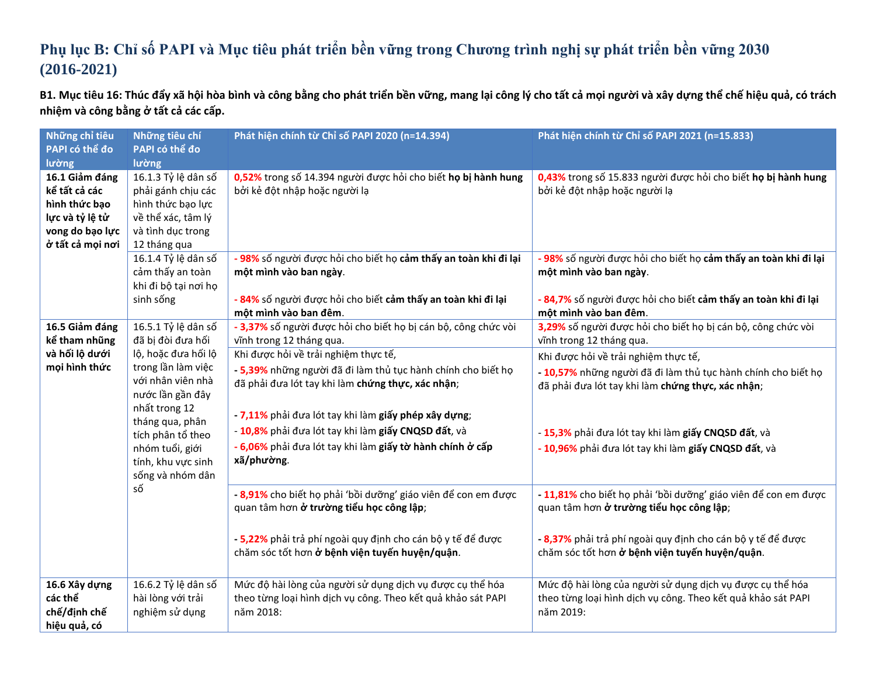## **Phụ lục B: Chỉ số PAPI và Mục tiêu phát triển bền vững trong Chương trình nghị sự phát triển bền vững 2030 (2016-2021)**

B1. Mục tiêu 16: Thúc đẩy xã hội hòa bình và công bằng cho phát triển bền vững, mang lại công lý cho tất cả mọi người và xây dựng thể chế hiệu quả, có trách **nhiệm và công bằng ở tất cả các cấp.**

| Những chỉ tiêu   | Những tiêu chí       | Phát hiện chính từ Chỉ số PAPI 2020 (n=14.394)                  | Phát hiện chính từ Chỉ số PAPI 2021 (n=15.833)                  |
|------------------|----------------------|-----------------------------------------------------------------|-----------------------------------------------------------------|
| PAPI có thể đo   | PAPI có thể đo       |                                                                 |                                                                 |
| lường            | lường                |                                                                 |                                                                 |
| 16.1 Giảm đáng   | 16.1.3 Tỷ lệ dân số  | 0,52% trong số 14.394 người được hỏi cho biết họ bị hành hung   | 0,43% trong số 15.833 người được hỏi cho biết họ bị hành hung   |
| kể tất cả các    | phải gánh chịu các   | bởi kẻ đột nhập hoặc người lạ                                   | bởi kẻ đột nhập hoặc người lạ                                   |
| hình thức bạo    | hình thức bạo lực    |                                                                 |                                                                 |
| lực và tỷ lệ tử  | về thể xác, tâm lý   |                                                                 |                                                                 |
| vong do bạo lực  | và tình dục trong    |                                                                 |                                                                 |
| ở tất cả mọi nơi | 12 tháng qua         |                                                                 |                                                                 |
|                  | 16.1.4 Tỷ lệ dân số  | - 98% số người được hỏi cho biết họ cảm thấy an toàn khi đi lại | - 98% số người được hỏi cho biết họ cảm thấy an toàn khi đi lại |
|                  | cảm thấy an toàn     | một mình vào ban ngày.                                          | một mình vào ban ngày.                                          |
|                  | khi đi bộ tại nơi họ |                                                                 |                                                                 |
|                  | sinh sống            | - 84% số người được hỏi cho biết cảm thấy an toàn khi đi lại    | - 84,7% số người được hỏi cho biết cảm thấy an toàn khi đi lại  |
|                  |                      | một mình vào ban đêm.                                           | một mình vào ban đêm.                                           |
| 16.5 Giảm đáng   | 16.5.1 Tỷ lệ dân số  | - 3,37% số người được hỏi cho biết họ bị cán bộ, công chức vòi  | 3,29% số người được hỏi cho biết họ bị cán bộ, công chức vòi    |
| kể tham nhũng    | đã bị đòi đưa hối    | vĩnh trong 12 tháng qua.                                        | vĩnh trong 12 tháng qua.                                        |
| và hối lộ dưới   | lộ, hoặc đưa hối lộ  | Khi được hỏi về trải nghiệm thực tế,                            | Khi được hỏi về trải nghiệm thực tế,                            |
| mọi hình thức    | trong lần làm việc   | - 5,39% những người đã đi làm thủ tục hành chính cho biết họ    | - 10,57% những người đã đi làm thủ tục hành chính cho biết họ   |
|                  | với nhân viên nhà    | đã phải đưa lót tay khi làm chứng thực, xác nhận;               | đã phải đưa lót tay khi làm chứng thực, xác nhận;               |
|                  | nước lần gần đây     |                                                                 |                                                                 |
|                  | nhất trong 12        | - 7,11% phải đưa lót tay khi làm giấy phép xây dựng;            |                                                                 |
|                  | tháng qua, phân      | - 10,8% phải đưa lót tay khi làm giấy CNQSD đất, và             |                                                                 |
|                  | tích phân tổ theo    |                                                                 | - 15,3% phải đưa lót tay khi làm giấy CNQSD đất, và             |
|                  | nhóm tuổi, giới      | - 6,06% phải đưa lót tay khi làm giấy tờ hành chính ở cấp       | - 10,96% phải đưa lót tay khi làm giấy CNQSD đất, và            |
|                  | tính, khu vực sinh   | xã/phường.                                                      |                                                                 |
|                  | sống và nhóm dân     |                                                                 |                                                                 |
|                  | số                   | - 8,91% cho biết họ phải 'bồi dưỡng' giáo viên để con em được   | - 11,81% cho biết họ phải 'bồi dưỡng' giáo viên để con em được  |
|                  |                      | quan tâm hơn ở trường tiểu học công lập;                        | quan tâm hơn ở trường tiểu học công lập;                        |
|                  |                      |                                                                 |                                                                 |
|                  |                      | - 5,22% phải trả phí ngoài quy định cho cán bộ y tế để được     | - 8,37% phải trả phí ngoài quy định cho cán bộ y tế để được     |
|                  |                      | chăm sóc tốt hơn ở bệnh viện tuyến huyện/quận.                  | chăm sóc tốt hơn ở bệnh viện tuyến huyện/quận.                  |
|                  |                      |                                                                 |                                                                 |
|                  |                      |                                                                 |                                                                 |
| 16.6 Xây dựng    | 16.6.2 Tỷ lệ dân số  | Mức độ hài lòng của người sử dụng dịch vụ được cụ thể hóa       | Mức độ hài lòng của người sử dụng dịch vụ được cụ thể hóa       |
| các thể          | hài lòng với trải    | theo từng loại hình dịch vụ công. Theo kết quả khảo sát PAPI    | theo từng loại hình dịch vụ công. Theo kết quả khảo sát PAPI    |
| chế/định chế     | nghiệm sử dụng       | năm 2018:                                                       | năm 2019:                                                       |
| hiệu quả, có     |                      |                                                                 |                                                                 |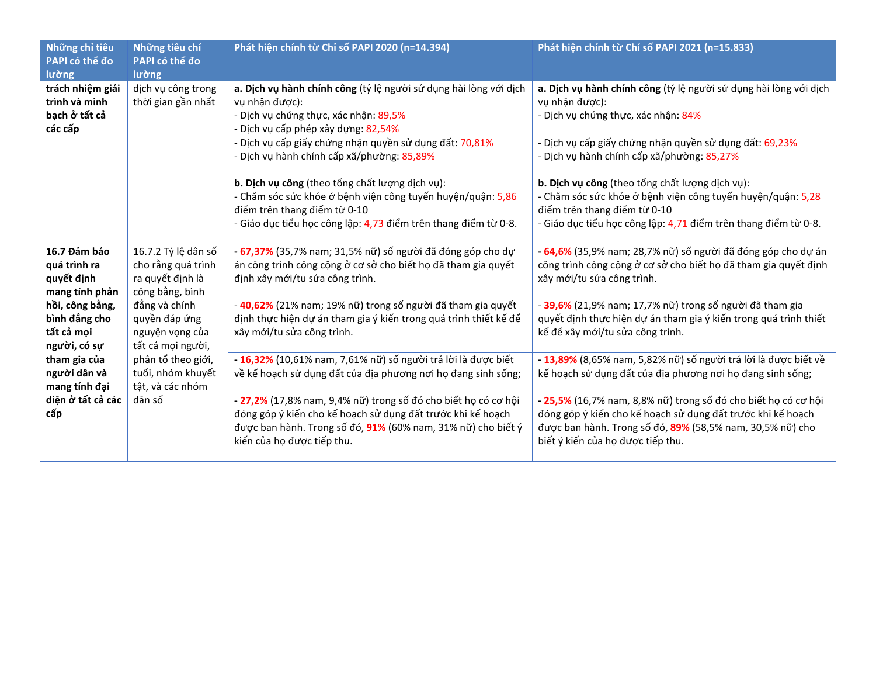| Những chỉ tiêu<br>PAPI có thể đo<br>lường                                                                                                                                                                   | Những tiêu chí<br>PAPI có thể đo<br>lường                                                                                                                                                                                           | Phát hiện chính từ Chỉ số PAPI 2020 (n=14.394)                                                                                                                                                                                                                                                                                                                                                                                                                                                    | Phát hiện chính từ Chỉ số PAPI 2021 (n=15.833)                                                                                                                                                                                                                                                                                                                                                                                                           |
|-------------------------------------------------------------------------------------------------------------------------------------------------------------------------------------------------------------|-------------------------------------------------------------------------------------------------------------------------------------------------------------------------------------------------------------------------------------|---------------------------------------------------------------------------------------------------------------------------------------------------------------------------------------------------------------------------------------------------------------------------------------------------------------------------------------------------------------------------------------------------------------------------------------------------------------------------------------------------|----------------------------------------------------------------------------------------------------------------------------------------------------------------------------------------------------------------------------------------------------------------------------------------------------------------------------------------------------------------------------------------------------------------------------------------------------------|
| trách nhiệm giải<br>trình và minh<br>bạch ở tất cả<br>các cấp                                                                                                                                               | dịch vụ công trong<br>thời gian gần nhất                                                                                                                                                                                            | a. Dịch vụ hành chính công (tỷ lệ người sử dụng hài lòng với dịch<br>vụ nhận được):<br>- Dịch vụ chứng thực, xác nhận: 89,5%<br>- Dịch vụ cấp phép xây dựng: 82,54%<br>- Dịch vụ cấp giấy chứng nhận quyền sử dụng đất: 70,81%<br>- Dịch vụ hành chính cấp xã/phường: 85,89%<br>b. Dịch vụ công (theo tổng chất lượng dịch vụ):<br>- Chăm sóc sức khỏe ở bệnh viện công tuyến huyện/quận: 5,86<br>điểm trên thang điểm từ 0-10<br>- Giáo dục tiểu học công lập: 4,73 điểm trên thang điểm từ 0-8. | a. Dịch vụ hành chính công (tỷ lệ người sử dụng hài lòng với dịch<br>vụ nhận được):<br>- Dịch vụ chứng thực, xác nhận: 84%<br>- Dịch vụ cấp giấy chứng nhận quyền sử dụng đất: 69,23%<br>- Dịch vụ hành chính cấp xã/phường: 85,27%<br>b. Dịch vụ công (theo tổng chất lượng dịch vụ):<br>- Chăm sóc sức khỏe ở bệnh viện công tuyến huyện/quận: 5,28<br>điểm trên thang điểm từ 0-10<br>- Giáo dục tiểu học công lập: 4,71 điểm trên thang điểm từ 0-8. |
| 16.7 Đảm bảo<br>quá trình ra<br>quyết định<br>mang tính phản<br>hồi, công bằng,<br>bình đẳng cho<br>tất cả mọi<br>người, có sự<br>tham gia của<br>người dân và<br>mang tính đại<br>diện ở tất cả các<br>cấp | 16.7.2 Tỷ lệ dân số<br>cho rằng quá trình<br>ra quyết định là<br>công bằng, bình<br>đẳng và chính<br>quyền đáp ứng<br>nguyện vọng của<br>tất cả mọi người,<br>phân tổ theo giới,<br>tuổi, nhóm khuyết<br>tật, và các nhóm<br>dân số | - 67,37% (35,7% nam; 31,5% nữ) số người đã đóng góp cho dự<br>án công trình công cộng ở cơ sở cho biết họ đã tham gia quyết<br>định xây mới/tu sửa công trình.<br>- 40,62% (21% nam; 19% nữ) trong số người đã tham gia quyết<br>định thực hiện dự án tham gia ý kiến trong quá trình thiết kế để<br>xây mới/tu sửa công trình.                                                                                                                                                                   | - 64,6% (35,9% nam; 28,7% nữ) số người đã đóng góp cho dự án<br>công trình công cộng ở cơ sở cho biết họ đã tham gia quyết định<br>xây mới/tu sửa công trình.<br>- 39,6% (21,9% nam; 17,7% nữ) trong số người đã tham gia<br>quyết định thực hiện dự án tham gia ý kiến trong quá trình thiết<br>kế để xây mới/tu sửa công trình.                                                                                                                        |
|                                                                                                                                                                                                             |                                                                                                                                                                                                                                     | - 16,32% (10,61% nam, 7,61% nữ) số người trả lời là được biết<br>về kế hoạch sử dụng đất của địa phương nơi họ đang sinh sống;<br>- 27,2% (17,8% nam, 9,4% nữ) trong số đó cho biết họ có cơ hội<br>đóng góp ý kiến cho kế hoạch sử dụng đất trước khi kế hoạch<br>được ban hành. Trong số đó, 91% (60% nam, 31% nữ) cho biết ý<br>kiến của họ được tiếp thu.                                                                                                                                     | - 13,89% (8,65% nam, 5,82% nữ) số người trả lời là được biết về<br>kế hoạch sử dụng đất của địa phương nơi họ đang sinh sống;<br>- 25,5% (16,7% nam, 8,8% nữ) trong số đó cho biết họ có cơ hội<br>đóng góp ý kiến cho kế hoạch sử dụng đất trước khi kế hoạch<br>được ban hành. Trong số đó, 89% (58,5% nam, 30,5% nữ) cho<br>biết ý kiến của họ được tiếp thu.                                                                                         |